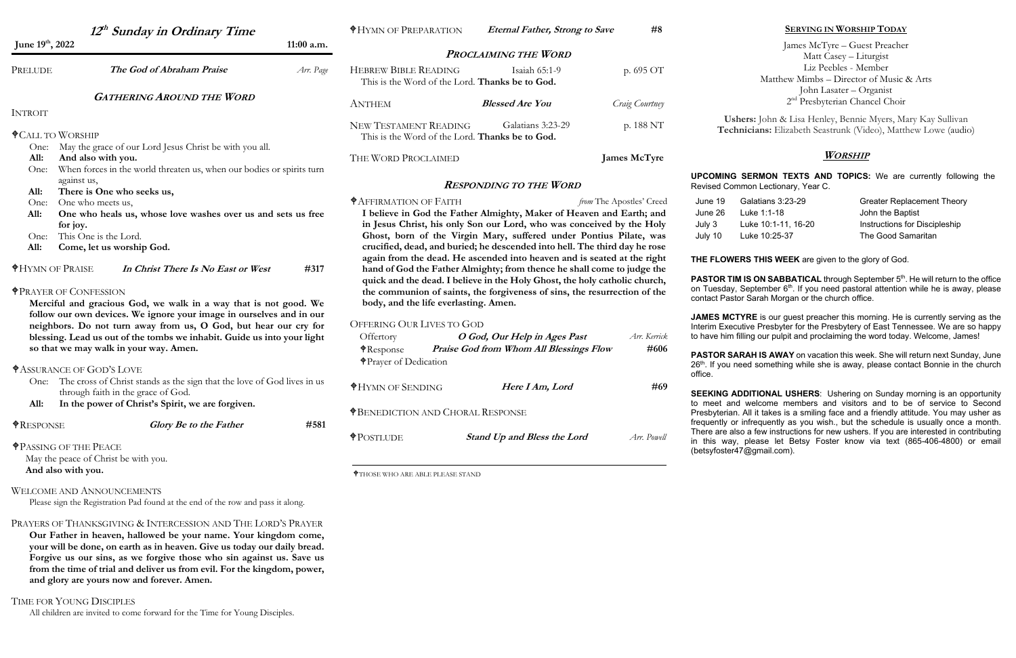**Our Father in heaven, hallowed be your name. Your kingdom come, your will be done, on earth as in heaven. Give us today our daily bread. Forgive us our sins, as we forgive those who sin against us. Save us from the time of trial and deliver us from evil. For the kingdom, power, and glory are yours now and forever. Amen.**

### TIME FOR YOUNG DISCIPLES

All children are invited to come forward for the Time for Young Disciples.

|                                                                                                                                                                                            | 12 <sup>th</sup> Sunday in Ordinary Time                                                                                                |                                                                                 | <b><i><del>O</del>HYMN OF PREPARATION</i></b>                                                                                                                                                                                                                                                                        | <b>Eternal Father, Strong to Save</b>                                                                                                                                                                                                                                                             | #8                                                                                                                            |                                                                                                                                                                                                                                                                                                                                                                                                                                                                                                                                                                                                                                                                                                                                  | <b>SERVING IN WORSHIP TODAY</b>                                                                                                                                       |  |
|--------------------------------------------------------------------------------------------------------------------------------------------------------------------------------------------|-----------------------------------------------------------------------------------------------------------------------------------------|---------------------------------------------------------------------------------|----------------------------------------------------------------------------------------------------------------------------------------------------------------------------------------------------------------------------------------------------------------------------------------------------------------------|---------------------------------------------------------------------------------------------------------------------------------------------------------------------------------------------------------------------------------------------------------------------------------------------------|-------------------------------------------------------------------------------------------------------------------------------|----------------------------------------------------------------------------------------------------------------------------------------------------------------------------------------------------------------------------------------------------------------------------------------------------------------------------------------------------------------------------------------------------------------------------------------------------------------------------------------------------------------------------------------------------------------------------------------------------------------------------------------------------------------------------------------------------------------------------------|-----------------------------------------------------------------------------------------------------------------------------------------------------------------------|--|
| June 19th, 2022<br>$11:00$ a.m.                                                                                                                                                            |                                                                                                                                         | <b>PROCLAIMING THE WORD</b>                                                     |                                                                                                                                                                                                                                                                                                                      |                                                                                                                                                                                                                                                                                                   | James McTyre - Guest Preacher                                                                                                 |                                                                                                                                                                                                                                                                                                                                                                                                                                                                                                                                                                                                                                                                                                                                  |                                                                                                                                                                       |  |
| PRELUDE                                                                                                                                                                                    | The God of Abraham Praise                                                                                                               | Arr. Page<br><b>GATHERING AROUND THE WORD</b>                                   |                                                                                                                                                                                                                                                                                                                      | <b>HEBREW BIBLE READING</b><br>Isaiah 65:1-9<br>p. 695 OT<br>This is the Word of the Lord. Thanks be to God.                                                                                                                                                                                      |                                                                                                                               |                                                                                                                                                                                                                                                                                                                                                                                                                                                                                                                                                                                                                                                                                                                                  | Matt Casey - Liturgist<br>Liz Peebles - Member<br>Matthew Mimbs – Director of Music & Arts<br>John Lasater - Organist                                                 |  |
|                                                                                                                                                                                            |                                                                                                                                         |                                                                                 | <b>ANTHEM</b><br><b>Blessed Are You</b>                                                                                                                                                                                                                                                                              |                                                                                                                                                                                                                                                                                                   | Craig Courtney                                                                                                                | $2nd$ Presbyterian Chancel Choir                                                                                                                                                                                                                                                                                                                                                                                                                                                                                                                                                                                                                                                                                                 |                                                                                                                                                                       |  |
| <b>INTROIT</b><br><b><math>\text{\textsterling}</math>CALL TO WORSHIP</b>                                                                                                                  |                                                                                                                                         | <b>NEW TESTAMENT READING</b><br>This is the Word of the Lord. Thanks be to God. | Galatians 3:23-29                                                                                                                                                                                                                                                                                                    | p. 188 NT                                                                                                                                                                                                                                                                                         | Ushers: John & Lisa Henley, Bennie Myers, Mary Kay Sullivan<br>Technicians: Elizabeth Seastrunk (Video), Matthew Lowe (audio) |                                                                                                                                                                                                                                                                                                                                                                                                                                                                                                                                                                                                                                                                                                                                  |                                                                                                                                                                       |  |
| One:                                                                                                                                                                                       | May the grace of our Lord Jesus Christ be with you all.                                                                                 |                                                                                 |                                                                                                                                                                                                                                                                                                                      |                                                                                                                                                                                                                                                                                                   |                                                                                                                               |                                                                                                                                                                                                                                                                                                                                                                                                                                                                                                                                                                                                                                                                                                                                  |                                                                                                                                                                       |  |
| All:                                                                                                                                                                                       | And also with you.                                                                                                                      |                                                                                 | THE WORD PROCLAIMED<br><b>James McTyre</b>                                                                                                                                                                                                                                                                           |                                                                                                                                                                                                                                                                                                   | Worship                                                                                                                       |                                                                                                                                                                                                                                                                                                                                                                                                                                                                                                                                                                                                                                                                                                                                  |                                                                                                                                                                       |  |
| When forces in the world threaten us, when our bodies or spirits turn<br>One:<br>against us,                                                                                               |                                                                                                                                         |                                                                                 | <b>RESPONDING TO THE WORD</b>                                                                                                                                                                                                                                                                                        |                                                                                                                                                                                                                                                                                                   |                                                                                                                               | <b>UPCOMING SERMON TEXTS AND TOPICS:</b> We are currently following the<br>Revised Common Lectionary, Year C.                                                                                                                                                                                                                                                                                                                                                                                                                                                                                                                                                                                                                    |                                                                                                                                                                       |  |
| All:                                                                                                                                                                                       | There is One who seeks us,                                                                                                              |                                                                                 | <b><i><del>†</del>AFFIRMATION OF FAITH</i></b>                                                                                                                                                                                                                                                                       |                                                                                                                                                                                                                                                                                                   |                                                                                                                               | Galatians 3:23-29<br>June 19                                                                                                                                                                                                                                                                                                                                                                                                                                                                                                                                                                                                                                                                                                     |                                                                                                                                                                       |  |
| One:<br>All:<br>for joy.<br>One:<br>All:                                                                                                                                                   | One who meets us,<br>One who heals us, whose love washes over us and sets us free<br>This One is the Lord.<br>Come, let us worship God. |                                                                                 |                                                                                                                                                                                                                                                                                                                      | I believe in God the Father Almighty, Maker of Heaven and Earth; and<br>in Jesus Christ, his only Son our Lord, who was conceived by the Holy<br>Ghost, born of the Virgin Mary, suffered under Pontius Pilate, was<br>crucified, dead, and buried; he descended into hell. The third day he rose | from The Apostles' Creed                                                                                                      | <b>Greater Replacement Theory</b><br>Luke 1:1-18<br>John the Baptist<br>June 26<br>Luke 10:1-11, 16-20<br>Instructions for Discipleship<br>July 3<br>The Good Samaritan<br>Luke 10:25-37<br>July 10                                                                                                                                                                                                                                                                                                                                                                                                                                                                                                                              |                                                                                                                                                                       |  |
| <b><i><del>†</del>HYMN OF PRAISE</i></b><br>In Christ There Is No East or West<br>#317                                                                                                     |                                                                                                                                         |                                                                                 | again from the dead. He ascended into heaven and is seated at the right<br>hand of God the Father Almighty; from thence he shall come to judge the<br>quick and the dead. I believe in the Holy Ghost, the holy catholic church,                                                                                     |                                                                                                                                                                                                                                                                                                   |                                                                                                                               | THE FLOWERS THIS WEEK are given to the glory of God.<br>PASTOR TIM IS ON SABBATICAL through September 5th. He will return to the office<br>on Tuesday, September 6 <sup>th</sup> . If you need pastoral attention while he is away, please<br>contact Pastor Sarah Morgan or the church office.<br>JAMES MCTYRE is our guest preacher this morning. He is currently serving as the<br>Interim Executive Presbyter for the Presbytery of East Tennessee. We are so happy<br>to have him filling our pulpit and proclaiming the word today. Welcome, James!<br>PASTOR SARAH IS AWAY on vacation this week. She will return next Sunday, June<br>26th. If you need something while she is away, please contact Bonnie in the church |                                                                                                                                                                       |  |
| <b><i><del>+</del>PRAYER OF CONFESSION</i></b><br>Merciful and gracious God, we walk in a way that is not good. We<br>follow our own devices. We ignore your image in ourselves and in our |                                                                                                                                         |                                                                                 | the communion of saints, the forgiveness of sins, the resurrection of the<br>body, and the life everlasting. Amen.                                                                                                                                                                                                   |                                                                                                                                                                                                                                                                                                   |                                                                                                                               |                                                                                                                                                                                                                                                                                                                                                                                                                                                                                                                                                                                                                                                                                                                                  |                                                                                                                                                                       |  |
| neighbors. Do not turn away from us, O God, but hear our cry for<br>blessing. Lead us out of the tombs we inhabit. Guide us into your light                                                |                                                                                                                                         |                                                                                 | <b>OFFERING OUR LIVES TO GOD</b><br>Offertory<br>O God, Our Help in Ages Past<br>Arr. Kerrick                                                                                                                                                                                                                        |                                                                                                                                                                                                                                                                                                   |                                                                                                                               |                                                                                                                                                                                                                                                                                                                                                                                                                                                                                                                                                                                                                                                                                                                                  |                                                                                                                                                                       |  |
| so that we may walk in your way. Amen.<br><b><i><del>†ASSURANCE OF GOD'S LOVE</del></i></b>                                                                                                |                                                                                                                                         |                                                                                 | #606<br><b>Praise God from Whom All Blessings Flow</b><br>$\bigcirc$ Response<br><b>↑</b> Prayer of Dedication                                                                                                                                                                                                       |                                                                                                                                                                                                                                                                                                   |                                                                                                                               |                                                                                                                                                                                                                                                                                                                                                                                                                                                                                                                                                                                                                                                                                                                                  |                                                                                                                                                                       |  |
|                                                                                                                                                                                            | One: The cross of Christ stands as the sign that the love of God lives in us<br>through faith in the grace of God.                      |                                                                                 | <b><i><del>OHYMN OF SENDING</del></i></b>                                                                                                                                                                                                                                                                            | Here I Am, Lord                                                                                                                                                                                                                                                                                   | #69                                                                                                                           | office.                                                                                                                                                                                                                                                                                                                                                                                                                                                                                                                                                                                                                                                                                                                          | <b>SEEKING ADDITIONAL USHERS:</b> Ushering on Sunday morning is an opportunity                                                                                        |  |
| <b>NESPONSE</b>                                                                                                                                                                            | In the power of Christ's Spirit, we are forgiven.<br>Glory Be to the Father                                                             | #581                                                                            | to meet and welcome members and visitors and to be of service to Second<br><b><i><del>†BENEDICTION AND CHORAL RESPONSE</del></i></b><br>Presbyterian. All it takes is a smiling face and a friendly attitude. You may usher as<br>frequently or infrequently as you wish., but the schedule is usually once a month. |                                                                                                                                                                                                                                                                                                   |                                                                                                                               |                                                                                                                                                                                                                                                                                                                                                                                                                                                                                                                                                                                                                                                                                                                                  |                                                                                                                                                                       |  |
| <b><i><del>+PASSING</del></i></b> OF THE PEACE                                                                                                                                             | May the peace of Christ be with you.                                                                                                    |                                                                                 | $\biguplus$ POSTLUDE                                                                                                                                                                                                                                                                                                 | <b>Stand Up and Bless the Lord</b>                                                                                                                                                                                                                                                                | Arr. Powell                                                                                                                   | (betsyfoster47@gmail.com).                                                                                                                                                                                                                                                                                                                                                                                                                                                                                                                                                                                                                                                                                                       | There are also a few instructions for new ushers. If you are interested in contributing<br>in this way, please let Betsy Foster know via text (865-406-4800) or email |  |
| And also with you.                                                                                                                                                                         |                                                                                                                                         | <b>THOSE WHO ARE ABLE PLEASE STAND</b>                                          |                                                                                                                                                                                                                                                                                                                      |                                                                                                                                                                                                                                                                                                   |                                                                                                                               |                                                                                                                                                                                                                                                                                                                                                                                                                                                                                                                                                                                                                                                                                                                                  |                                                                                                                                                                       |  |
|                                                                                                                                                                                            | <b>WELCOME AND ANNOUNCEMENTS</b><br>Please sign the Registration Pad found at the end of the row and pass it along.                     |                                                                                 |                                                                                                                                                                                                                                                                                                                      |                                                                                                                                                                                                                                                                                                   |                                                                                                                               |                                                                                                                                                                                                                                                                                                                                                                                                                                                                                                                                                                                                                                                                                                                                  |                                                                                                                                                                       |  |
|                                                                                                                                                                                            | PRAYERS OF THANKSGIVING & INTERCESSION AND THE LORD'S PRAYER                                                                            |                                                                                 |                                                                                                                                                                                                                                                                                                                      |                                                                                                                                                                                                                                                                                                   |                                                                                                                               |                                                                                                                                                                                                                                                                                                                                                                                                                                                                                                                                                                                                                                                                                                                                  |                                                                                                                                                                       |  |